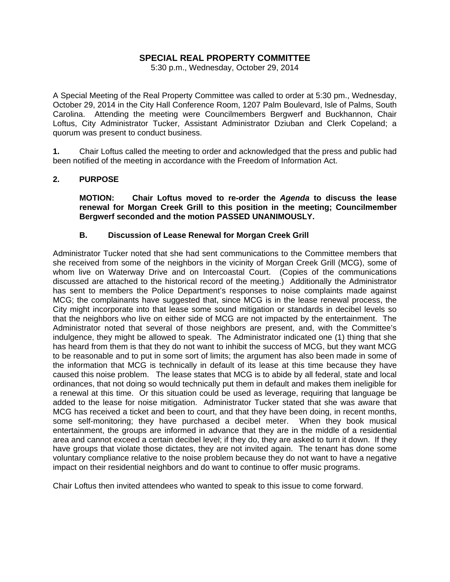# **SPECIAL REAL PROPERTY COMMITTEE**

5:30 p.m., Wednesday, October 29, 2014

A Special Meeting of the Real Property Committee was called to order at 5:30 pm., Wednesday, October 29, 2014 in the City Hall Conference Room, 1207 Palm Boulevard, Isle of Palms, South Carolina. Attending the meeting were Councilmembers Bergwerf and Buckhannon, Chair Loftus, City Administrator Tucker, Assistant Administrator Dziuban and Clerk Copeland; a quorum was present to conduct business.

**1.** Chair Loftus called the meeting to order and acknowledged that the press and public had been notified of the meeting in accordance with the Freedom of Information Act.

#### **2. PURPOSE**

 **MOTION: Chair Loftus moved to re-order the** *Agenda* **to discuss the lease renewal for Morgan Creek Grill to this position in the meeting; Councilmember Bergwerf seconded and the motion PASSED UNANIMOUSLY.** 

# **B. Discussion of Lease Renewal for Morgan Creek Grill**

Administrator Tucker noted that she had sent communications to the Committee members that she received from some of the neighbors in the vicinity of Morgan Creek Grill (MCG), some of whom live on Waterway Drive and on Intercoastal Court. (Copies of the communications discussed are attached to the historical record of the meeting.) Additionally the Administrator has sent to members the Police Department's responses to noise complaints made against MCG; the complainants have suggested that, since MCG is in the lease renewal process, the City might incorporate into that lease some sound mitigation or standards in decibel levels so that the neighbors who live on either side of MCG are not impacted by the entertainment. The Administrator noted that several of those neighbors are present, and, with the Committee's indulgence, they might be allowed to speak. The Administrator indicated one (1) thing that she has heard from them is that they do not want to inhibit the success of MCG, but they want MCG to be reasonable and to put in some sort of limits; the argument has also been made in some of the information that MCG is technically in default of its lease at this time because they have caused this noise problem. The lease states that MCG is to abide by all federal, state and local ordinances, that not doing so would technically put them in default and makes them ineligible for a renewal at this time. Or this situation could be used as leverage, requiring that language be added to the lease for noise mitigation. Administrator Tucker stated that she was aware that MCG has received a ticket and been to court, and that they have been doing, in recent months, some self-monitoring; they have purchased a decibel meter. When they book musical entertainment, the groups are informed in advance that they are in the middle of a residential area and cannot exceed a certain decibel level; if they do, they are asked to turn it down. If they have groups that violate those dictates, they are not invited again. The tenant has done some voluntary compliance relative to the noise problem because they do not want to have a negative impact on their residential neighbors and do want to continue to offer music programs.

Chair Loftus then invited attendees who wanted to speak to this issue to come forward.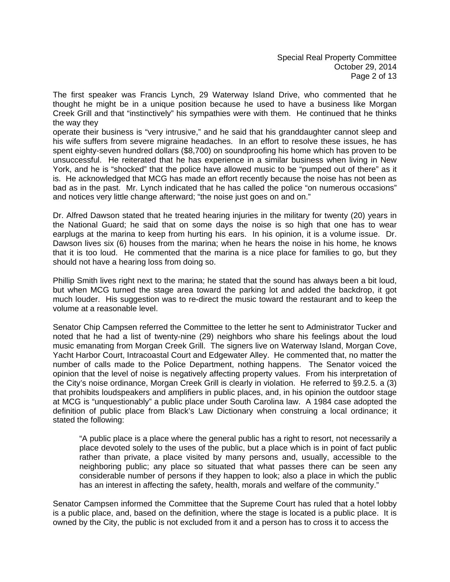The first speaker was Francis Lynch, 29 Waterway Island Drive, who commented that he thought he might be in a unique position because he used to have a business like Morgan Creek Grill and that "instinctively" his sympathies were with them. He continued that he thinks the way they

operate their business is "very intrusive," and he said that his granddaughter cannot sleep and his wife suffers from severe migraine headaches. In an effort to resolve these issues, he has spent eighty-seven hundred dollars (\$8,700) on soundproofing his home which has proven to be unsuccessful. He reiterated that he has experience in a similar business when living in New York, and he is "shocked" that the police have allowed music to be "pumped out of there" as it is. He acknowledged that MCG has made an effort recently because the noise has not been as bad as in the past. Mr. Lynch indicated that he has called the police "on numerous occasions" and notices very little change afterward; "the noise just goes on and on."

Dr. Alfred Dawson stated that he treated hearing injuries in the military for twenty (20) years in the National Guard; he said that on some days the noise is so high that one has to wear earplugs at the marina to keep from hurting his ears. In his opinion, it is a volume issue. Dr. Dawson lives six (6) houses from the marina; when he hears the noise in his home, he knows that it is too loud. He commented that the marina is a nice place for families to go, but they should not have a hearing loss from doing so.

Phillip Smith lives right next to the marina; he stated that the sound has always been a bit loud, but when MCG turned the stage area toward the parking lot and added the backdrop, it got much louder. His suggestion was to re-direct the music toward the restaurant and to keep the volume at a reasonable level.

Senator Chip Campsen referred the Committee to the letter he sent to Administrator Tucker and noted that he had a list of twenty-nine (29) neighbors who share his feelings about the loud music emanating from Morgan Creek Grill. The signers live on Waterway Island, Morgan Cove, Yacht Harbor Court, Intracoastal Court and Edgewater Alley. He commented that, no matter the number of calls made to the Police Department, nothing happens. The Senator voiced the opinion that the level of noise is negatively affecting property values. From his interpretation of the City's noise ordinance, Morgan Creek Grill is clearly in violation. He referred to §9.2.5. a (3) that prohibits loudspeakers and amplifiers in public places, and, in his opinion the outdoor stage at MCG is "unquestionably" a public place under South Carolina law. A 1984 case adopted the definition of public place from Black's Law Dictionary when construing a local ordinance; it stated the following:

 "A public place is a place where the general public has a right to resort, not necessarily a place devoted solely to the uses of the public, but a place which is in point of fact public rather than private, a place visited by many persons and, usually, accessible to the neighboring public; any place so situated that what passes there can be seen any considerable number of persons if they happen to look; also a place in which the public has an interest in affecting the safety, health, morals and welfare of the community."

Senator Campsen informed the Committee that the Supreme Court has ruled that a hotel lobby is a public place, and, based on the definition, where the stage is located is a public place. It is owned by the City, the public is not excluded from it and a person has to cross it to access the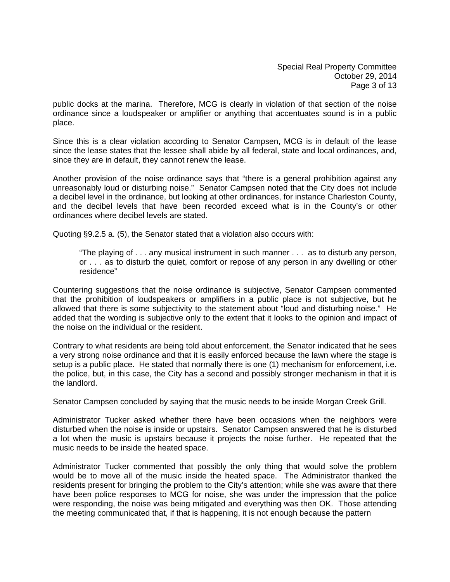Special Real Property Committee October 29, 2014 Page 3 of 13

public docks at the marina. Therefore, MCG is clearly in violation of that section of the noise ordinance since a loudspeaker or amplifier or anything that accentuates sound is in a public place.

Since this is a clear violation according to Senator Campsen, MCG is in default of the lease since the lease states that the lessee shall abide by all federal, state and local ordinances, and, since they are in default, they cannot renew the lease.

Another provision of the noise ordinance says that "there is a general prohibition against any unreasonably loud or disturbing noise." Senator Campsen noted that the City does not include a decibel level in the ordinance, but looking at other ordinances, for instance Charleston County, and the decibel levels that have been recorded exceed what is in the County's or other ordinances where decibel levels are stated.

Quoting §9.2.5 a. (5), the Senator stated that a violation also occurs with:

 "The playing of . . . any musical instrument in such manner . . . as to disturb any person, or . . . as to disturb the quiet, comfort or repose of any person in any dwelling or other residence"

Countering suggestions that the noise ordinance is subjective, Senator Campsen commented that the prohibition of loudspeakers or amplifiers in a public place is not subjective, but he allowed that there is some subjectivity to the statement about "loud and disturbing noise." He added that the wording is subjective only to the extent that it looks to the opinion and impact of the noise on the individual or the resident.

Contrary to what residents are being told about enforcement, the Senator indicated that he sees a very strong noise ordinance and that it is easily enforced because the lawn where the stage is setup is a public place. He stated that normally there is one (1) mechanism for enforcement, i.e. the police, but, in this case, the City has a second and possibly stronger mechanism in that it is the landlord.

Senator Campsen concluded by saying that the music needs to be inside Morgan Creek Grill.

Administrator Tucker asked whether there have been occasions when the neighbors were disturbed when the noise is inside or upstairs. Senator Campsen answered that he is disturbed a lot when the music is upstairs because it projects the noise further. He repeated that the music needs to be inside the heated space.

Administrator Tucker commented that possibly the only thing that would solve the problem would be to move all of the music inside the heated space. The Administrator thanked the residents present for bringing the problem to the City's attention; while she was aware that there have been police responses to MCG for noise, she was under the impression that the police were responding, the noise was being mitigated and everything was then OK. Those attending the meeting communicated that, if that is happening, it is not enough because the pattern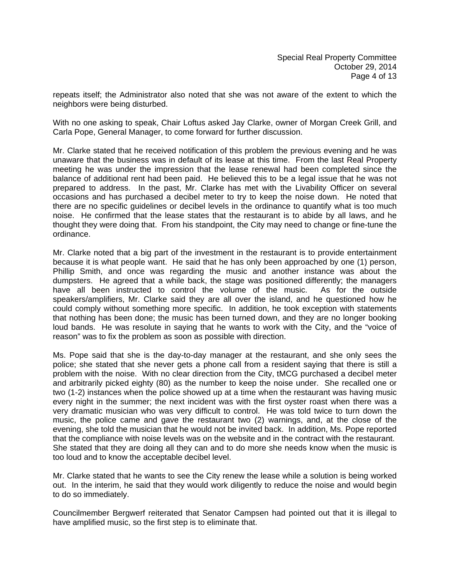repeats itself; the Administrator also noted that she was not aware of the extent to which the neighbors were being disturbed.

With no one asking to speak, Chair Loftus asked Jay Clarke, owner of Morgan Creek Grill, and Carla Pope, General Manager, to come forward for further discussion.

Mr. Clarke stated that he received notification of this problem the previous evening and he was unaware that the business was in default of its lease at this time. From the last Real Property meeting he was under the impression that the lease renewal had been completed since the balance of additional rent had been paid. He believed this to be a legal issue that he was not prepared to address. In the past, Mr. Clarke has met with the Livability Officer on several occasions and has purchased a decibel meter to try to keep the noise down. He noted that there are no specific guidelines or decibel levels in the ordinance to quantify what is too much noise. He confirmed that the lease states that the restaurant is to abide by all laws, and he thought they were doing that. From his standpoint, the City may need to change or fine-tune the ordinance.

Mr. Clarke noted that a big part of the investment in the restaurant is to provide entertainment because it is what people want. He said that he has only been approached by one (1) person, Phillip Smith, and once was regarding the music and another instance was about the dumpsters. He agreed that a while back, the stage was positioned differently; the managers have all been instructed to control the volume of the music. As for the outside speakers/amplifiers, Mr. Clarke said they are all over the island, and he questioned how he could comply without something more specific. In addition, he took exception with statements that nothing has been done; the music has been turned down, and they are no longer booking loud bands. He was resolute in saying that he wants to work with the City, and the "voice of reason" was to fix the problem as soon as possible with direction.

Ms. Pope said that she is the day-to-day manager at the restaurant, and she only sees the police; she stated that she never gets a phone call from a resident saying that there is still a problem with the noise. With no clear direction from the City, tMCG purchased a decibel meter and arbitrarily picked eighty (80) as the number to keep the noise under. She recalled one or two (1-2) instances when the police showed up at a time when the restaurant was having music every night in the summer; the next incident was with the first oyster roast when there was a very dramatic musician who was very difficult to control. He was told twice to turn down the music, the police came and gave the restaurant two (2) warnings, and, at the close of the evening, she told the musician that he would not be invited back. In addition, Ms. Pope reported that the compliance with noise levels was on the website and in the contract with the restaurant. She stated that they are doing all they can and to do more she needs know when the music is too loud and to know the acceptable decibel level.

Mr. Clarke stated that he wants to see the City renew the lease while a solution is being worked out. In the interim, he said that they would work diligently to reduce the noise and would begin to do so immediately.

Councilmember Bergwerf reiterated that Senator Campsen had pointed out that it is illegal to have amplified music, so the first step is to eliminate that.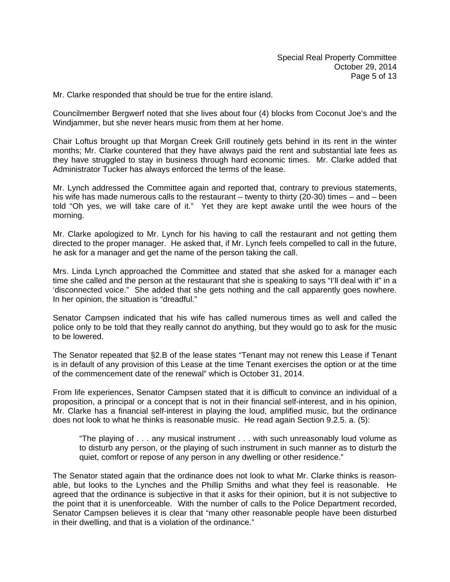Mr. Clarke responded that should be true for the entire island.

Councilmember Bergwerf noted that she lives about four (4) blocks from Coconut Joe's and the Windjammer, but she never hears music from them at her home.

Chair Loftus brought up that Morgan Creek Grill routinely gets behind in its rent in the winter months; Mr. Clarke countered that they have always paid the rent and substantial late fees as they have struggled to stay in business through hard economic times. Mr. Clarke added that Administrator Tucker has always enforced the terms of the lease.

Mr. Lynch addressed the Committee again and reported that, contrary to previous statements, his wife has made numerous calls to the restaurant – twenty to thirty (20-30) times – and – been told "Oh yes, we will take care of it." Yet they are kept awake until the wee hours of the morning.

Mr. Clarke apologized to Mr. Lynch for his having to call the restaurant and not getting them directed to the proper manager. He asked that, if Mr. Lynch feels compelled to call in the future, he ask for a manager and get the name of the person taking the call.

Mrs. Linda Lynch approached the Committee and stated that she asked for a manager each time she called and the person at the restaurant that she is speaking to says "I'll deal with it" in a 'disconnected voice." She added that she gets nothing and the call apparently goes nowhere. In her opinion, the situation is "dreadful."

Senator Campsen indicated that his wife has called numerous times as well and called the police only to be told that they really cannot do anything, but they would go to ask for the music to be lowered.

The Senator repeated that §2.B of the lease states "Tenant may not renew this Lease if Tenant is in default of any provision of this Lease at the time Tenant exercises the option or at the time of the commencement date of the renewal" which is October 31, 2014.

From life experiences, Senator Campsen stated that it is difficult to convince an individual of a proposition, a principal or a concept that is not in their financial self-interest, and in his opinion, Mr. Clarke has a financial self-interest in playing the loud, amplified music, but the ordinance does not look to what he thinks is reasonable music. He read again Section 9.2.5. a. (5):

 "The playing of . . . any musical instrument . . . with such unreasonably loud volume as to disturb any person, or the playing of such instrument in such manner as to disturb the quiet, comfort or repose of any person in any dwelling or other residence."

The Senator stated again that the ordinance does not look to what Mr. Clarke thinks is reasonable, but looks to the Lynches and the Phillip Smiths and what they feel is reasonable. He agreed that the ordinance is subjective in that it asks for their opinion, but it is not subjective to the point that it is unenforceable. With the number of calls to the Police Department recorded, Senator Campsen believes it is clear that "many other reasonable people have been disturbed in their dwelling, and that is a violation of the ordinance."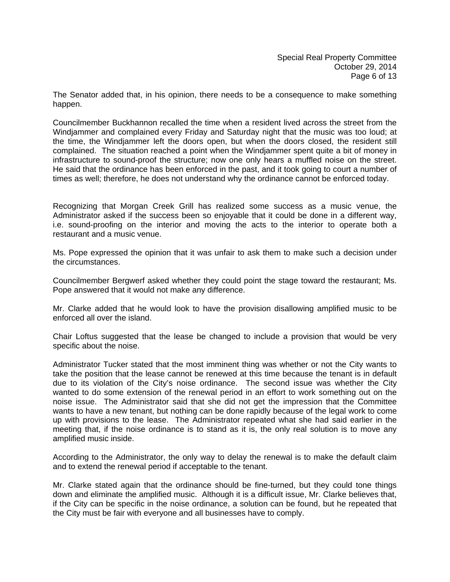The Senator added that, in his opinion, there needs to be a consequence to make something happen.

Councilmember Buckhannon recalled the time when a resident lived across the street from the Windjammer and complained every Friday and Saturday night that the music was too loud; at the time, the Windjammer left the doors open, but when the doors closed, the resident still complained. The situation reached a point when the Windjammer spent quite a bit of money in infrastructure to sound-proof the structure; now one only hears a muffled noise on the street. He said that the ordinance has been enforced in the past, and it took going to court a number of times as well; therefore, he does not understand why the ordinance cannot be enforced today.

Recognizing that Morgan Creek Grill has realized some success as a music venue, the Administrator asked if the success been so enjoyable that it could be done in a different way, i.e. sound-proofing on the interior and moving the acts to the interior to operate both a restaurant and a music venue.

Ms. Pope expressed the opinion that it was unfair to ask them to make such a decision under the circumstances.

Councilmember Bergwerf asked whether they could point the stage toward the restaurant; Ms. Pope answered that it would not make any difference.

Mr. Clarke added that he would look to have the provision disallowing amplified music to be enforced all over the island.

Chair Loftus suggested that the lease be changed to include a provision that would be very specific about the noise.

Administrator Tucker stated that the most imminent thing was whether or not the City wants to take the position that the lease cannot be renewed at this time because the tenant is in default due to its violation of the City's noise ordinance. The second issue was whether the City wanted to do some extension of the renewal period in an effort to work something out on the noise issue. The Administrator said that she did not get the impression that the Committee wants to have a new tenant, but nothing can be done rapidly because of the legal work to come up with provisions to the lease. The Administrator repeated what she had said earlier in the meeting that, if the noise ordinance is to stand as it is, the only real solution is to move any amplified music inside.

According to the Administrator, the only way to delay the renewal is to make the default claim and to extend the renewal period if acceptable to the tenant.

Mr. Clarke stated again that the ordinance should be fine-turned, but they could tone things down and eliminate the amplified music. Although it is a difficult issue, Mr. Clarke believes that, if the City can be specific in the noise ordinance, a solution can be found, but he repeated that the City must be fair with everyone and all businesses have to comply.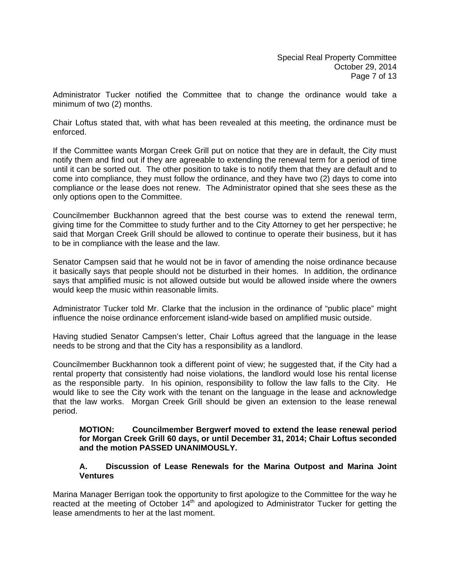Administrator Tucker notified the Committee that to change the ordinance would take a minimum of two (2) months.

Chair Loftus stated that, with what has been revealed at this meeting, the ordinance must be enforced.

If the Committee wants Morgan Creek Grill put on notice that they are in default, the City must notify them and find out if they are agreeable to extending the renewal term for a period of time until it can be sorted out. The other position to take is to notify them that they are default and to come into compliance, they must follow the ordinance, and they have two (2) days to come into compliance or the lease does not renew. The Administrator opined that she sees these as the only options open to the Committee.

Councilmember Buckhannon agreed that the best course was to extend the renewal term, giving time for the Committee to study further and to the City Attorney to get her perspective; he said that Morgan Creek Grill should be allowed to continue to operate their business, but it has to be in compliance with the lease and the law.

Senator Campsen said that he would not be in favor of amending the noise ordinance because it basically says that people should not be disturbed in their homes. In addition, the ordinance says that amplified music is not allowed outside but would be allowed inside where the owners would keep the music within reasonable limits.

Administrator Tucker told Mr. Clarke that the inclusion in the ordinance of "public place" might influence the noise ordinance enforcement island-wide based on amplified music outside.

Having studied Senator Campsen's letter, Chair Loftus agreed that the language in the lease needs to be strong and that the City has a responsibility as a landlord.

Councilmember Buckhannon took a different point of view; he suggested that, if the City had a rental property that consistently had noise violations, the landlord would lose his rental license as the responsible party. In his opinion, responsibility to follow the law falls to the City. He would like to see the City work with the tenant on the language in the lease and acknowledge that the law works. Morgan Creek Grill should be given an extension to the lease renewal period.

### **MOTION: Councilmember Bergwerf moved to extend the lease renewal period for Morgan Creek Grill 60 days, or until December 31, 2014; Chair Loftus seconded and the motion PASSED UNANIMOUSLY.**

# **A. Discussion of Lease Renewals for the Marina Outpost and Marina Joint Ventures**

Marina Manager Berrigan took the opportunity to first apologize to the Committee for the way he reacted at the meeting of October 14<sup>th</sup> and apologized to Administrator Tucker for getting the lease amendments to her at the last moment.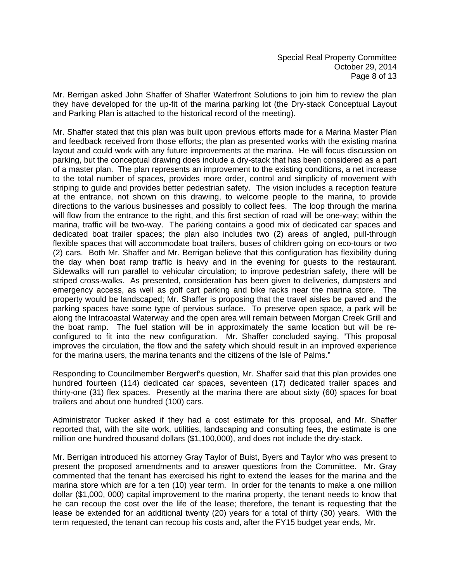Mr. Berrigan asked John Shaffer of Shaffer Waterfront Solutions to join him to review the plan they have developed for the up-fit of the marina parking lot (the Dry-stack Conceptual Layout and Parking Plan is attached to the historical record of the meeting).

Mr. Shaffer stated that this plan was built upon previous efforts made for a Marina Master Plan and feedback received from those efforts; the plan as presented works with the existing marina layout and could work with any future improvements at the marina. He will focus discussion on parking, but the conceptual drawing does include a dry-stack that has been considered as a part of a master plan. The plan represents an improvement to the existing conditions, a net increase to the total number of spaces, provides more order, control and simplicity of movement with striping to guide and provides better pedestrian safety. The vision includes a reception feature at the entrance, not shown on this drawing, to welcome people to the marina, to provide directions to the various businesses and possibly to collect fees. The loop through the marina will flow from the entrance to the right, and this first section of road will be one-way; within the marina, traffic will be two-way. The parking contains a good mix of dedicated car spaces and dedicated boat trailer spaces; the plan also includes two (2) areas of angled, pull-through flexible spaces that will accommodate boat trailers, buses of children going on eco-tours or two (2) cars. Both Mr. Shaffer and Mr. Berrigan believe that this configuration has flexibility during the day when boat ramp traffic is heavy and in the evening for guests to the restaurant. Sidewalks will run parallel to vehicular circulation; to improve pedestrian safety, there will be striped cross-walks. As presented, consideration has been given to deliveries, dumpsters and emergency access, as well as golf cart parking and bike racks near the marina store. The property would be landscaped; Mr. Shaffer is proposing that the travel aisles be paved and the parking spaces have some type of pervious surface. To preserve open space, a park will be along the Intracoastal Waterway and the open area will remain between Morgan Creek Grill and the boat ramp. The fuel station will be in approximately the same location but will be reconfigured to fit into the new configuration. Mr. Shaffer concluded saying, "This proposal improves the circulation, the flow and the safety which should result in an improved experience for the marina users, the marina tenants and the citizens of the Isle of Palms."

Responding to Councilmember Bergwerf's question, Mr. Shaffer said that this plan provides one hundred fourteen (114) dedicated car spaces, seventeen (17) dedicated trailer spaces and thirty-one (31) flex spaces. Presently at the marina there are about sixty (60) spaces for boat trailers and about one hundred (100) cars.

Administrator Tucker asked if they had a cost estimate for this proposal, and Mr. Shaffer reported that, with the site work, utilities, landscaping and consulting fees, the estimate is one million one hundred thousand dollars (\$1,100,000), and does not include the dry-stack.

Mr. Berrigan introduced his attorney Gray Taylor of Buist, Byers and Taylor who was present to present the proposed amendments and to answer questions from the Committee. Mr. Gray commented that the tenant has exercised his right to extend the leases for the marina and the marina store which are for a ten (10) year term. In order for the tenants to make a one million dollar (\$1,000, 000) capital improvement to the marina property, the tenant needs to know that he can recoup the cost over the life of the lease; therefore, the tenant is requesting that the lease be extended for an additional twenty (20) years for a total of thirty (30) years. With the term requested, the tenant can recoup his costs and, after the FY15 budget year ends, Mr.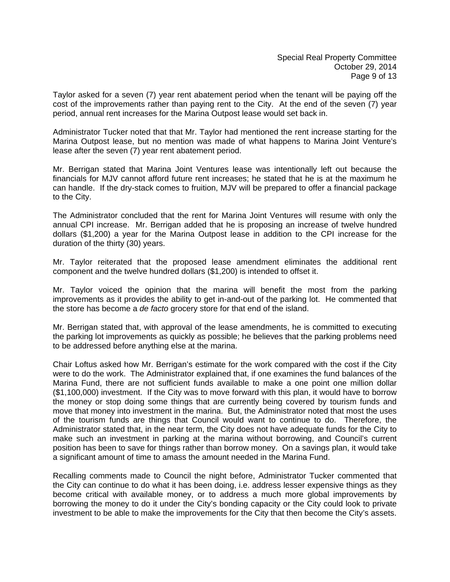Taylor asked for a seven (7) year rent abatement period when the tenant will be paying off the cost of the improvements rather than paying rent to the City. At the end of the seven (7) year period, annual rent increases for the Marina Outpost lease would set back in.

Administrator Tucker noted that that Mr. Taylor had mentioned the rent increase starting for the Marina Outpost lease, but no mention was made of what happens to Marina Joint Venture's lease after the seven (7) year rent abatement period.

Mr. Berrigan stated that Marina Joint Ventures lease was intentionally left out because the financials for MJV cannot afford future rent increases; he stated that he is at the maximum he can handle. If the dry-stack comes to fruition, MJV will be prepared to offer a financial package to the City.

The Administrator concluded that the rent for Marina Joint Ventures will resume with only the annual CPI increase. Mr. Berrigan added that he is proposing an increase of twelve hundred dollars (\$1,200) a year for the Marina Outpost lease in addition to the CPI increase for the duration of the thirty (30) years.

Mr. Taylor reiterated that the proposed lease amendment eliminates the additional rent component and the twelve hundred dollars (\$1,200) is intended to offset it.

Mr. Taylor voiced the opinion that the marina will benefit the most from the parking improvements as it provides the ability to get in-and-out of the parking lot. He commented that the store has become a *de facto* grocery store for that end of the island.

Mr. Berrigan stated that, with approval of the lease amendments, he is committed to executing the parking lot improvements as quickly as possible; he believes that the parking problems need to be addressed before anything else at the marina.

Chair Loftus asked how Mr. Berrigan's estimate for the work compared with the cost if the City were to do the work. The Administrator explained that, if one examines the fund balances of the Marina Fund, there are not sufficient funds available to make a one point one million dollar (\$1,100,000) investment. If the City was to move forward with this plan, it would have to borrow the money or stop doing some things that are currently being covered by tourism funds and move that money into investment in the marina. But, the Administrator noted that most the uses of the tourism funds are things that Council would want to continue to do. Therefore, the Administrator stated that, in the near term, the City does not have adequate funds for the City to make such an investment in parking at the marina without borrowing, and Council's current position has been to save for things rather than borrow money. On a savings plan, it would take a significant amount of time to amass the amount needed in the Marina Fund.

Recalling comments made to Council the night before, Administrator Tucker commented that the City can continue to do what it has been doing, i.e. address lesser expensive things as they become critical with available money, or to address a much more global improvements by borrowing the money to do it under the City's bonding capacity or the City could look to private investment to be able to make the improvements for the City that then become the City's assets.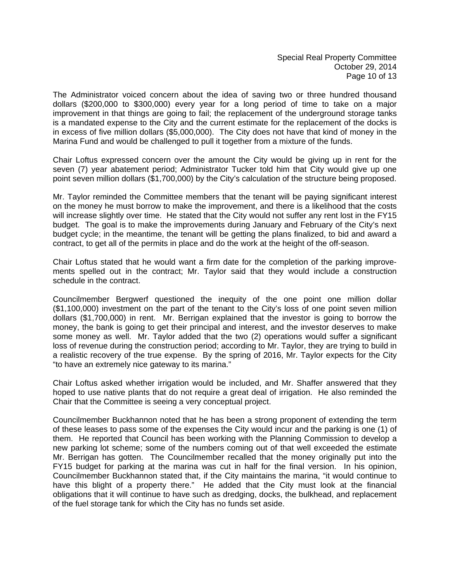The Administrator voiced concern about the idea of saving two or three hundred thousand dollars (\$200,000 to \$300,000) every year for a long period of time to take on a major improvement in that things are going to fail; the replacement of the underground storage tanks is a mandated expense to the City and the current estimate for the replacement of the docks is in excess of five million dollars (\$5,000,000). The City does not have that kind of money in the Marina Fund and would be challenged to pull it together from a mixture of the funds.

Chair Loftus expressed concern over the amount the City would be giving up in rent for the seven (7) year abatement period; Administrator Tucker told him that City would give up one point seven million dollars (\$1,700,000) by the City's calculation of the structure being proposed.

Mr. Taylor reminded the Committee members that the tenant will be paying significant interest on the money he must borrow to make the improvement, and there is a likelihood that the costs will increase slightly over time. He stated that the City would not suffer any rent lost in the FY15 budget. The goal is to make the improvements during January and February of the City's next budget cycle; in the meantime, the tenant will be getting the plans finalized, to bid and award a contract, to get all of the permits in place and do the work at the height of the off-season.

Chair Loftus stated that he would want a firm date for the completion of the parking improvements spelled out in the contract; Mr. Taylor said that they would include a construction schedule in the contract.

Councilmember Bergwerf questioned the inequity of the one point one million dollar (\$1,100,000) investment on the part of the tenant to the City's loss of one point seven million dollars (\$1,700,000) in rent. Mr. Berrigan explained that the investor is going to borrow the money, the bank is going to get their principal and interest, and the investor deserves to make some money as well. Mr. Taylor added that the two (2) operations would suffer a significant loss of revenue during the construction period; according to Mr. Taylor, they are trying to build in a realistic recovery of the true expense. By the spring of 2016, Mr. Taylor expects for the City "to have an extremely nice gateway to its marina."

Chair Loftus asked whether irrigation would be included, and Mr. Shaffer answered that they hoped to use native plants that do not require a great deal of irrigation. He also reminded the Chair that the Committee is seeing a very conceptual project.

Councilmember Buckhannon noted that he has been a strong proponent of extending the term of these leases to pass some of the expenses the City would incur and the parking is one (1) of them. He reported that Council has been working with the Planning Commission to develop a new parking lot scheme; some of the numbers coming out of that well exceeded the estimate Mr. Berrigan has gotten. The Councilmember recalled that the money originally put into the FY15 budget for parking at the marina was cut in half for the final version. In his opinion, Councilmember Buckhannon stated that, if the City maintains the marina, "it would continue to have this blight of a property there." He added that the City must look at the financial obligations that it will continue to have such as dredging, docks, the bulkhead, and replacement of the fuel storage tank for which the City has no funds set aside.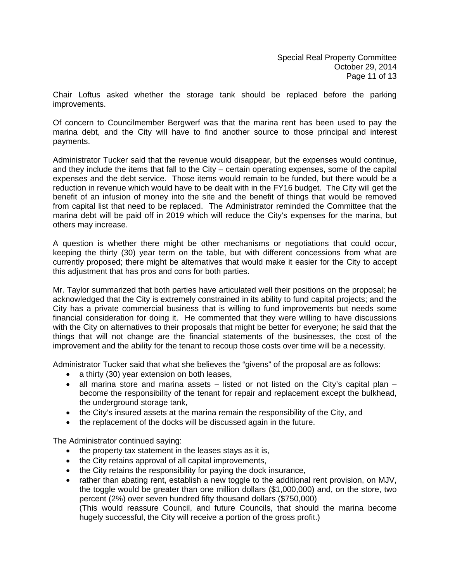Chair Loftus asked whether the storage tank should be replaced before the parking improvements.

Of concern to Councilmember Bergwerf was that the marina rent has been used to pay the marina debt, and the City will have to find another source to those principal and interest payments.

Administrator Tucker said that the revenue would disappear, but the expenses would continue, and they include the items that fall to the City – certain operating expenses, some of the capital expenses and the debt service. Those items would remain to be funded, but there would be a reduction in revenue which would have to be dealt with in the FY16 budget. The City will get the benefit of an infusion of money into the site and the benefit of things that would be removed from capital list that need to be replaced. The Administrator reminded the Committee that the marina debt will be paid off in 2019 which will reduce the City's expenses for the marina, but others may increase.

A question is whether there might be other mechanisms or negotiations that could occur, keeping the thirty (30) year term on the table, but with different concessions from what are currently proposed; there might be alternatives that would make it easier for the City to accept this adjustment that has pros and cons for both parties.

Mr. Taylor summarized that both parties have articulated well their positions on the proposal; he acknowledged that the City is extremely constrained in its ability to fund capital projects; and the City has a private commercial business that is willing to fund improvements but needs some financial consideration for doing it. He commented that they were willing to have discussions with the City on alternatives to their proposals that might be better for everyone; he said that the things that will not change are the financial statements of the businesses, the cost of the improvement and the ability for the tenant to recoup those costs over time will be a necessity.

Administrator Tucker said that what she believes the "givens" of the proposal are as follows:

- a thirty (30) year extension on both leases,
- all marina store and marina assets listed or not listed on the City's capital plan become the responsibility of the tenant for repair and replacement except the bulkhead, the underground storage tank,
- the City's insured assets at the marina remain the responsibility of the City, and
- the replacement of the docks will be discussed again in the future.

The Administrator continued saying:

- the property tax statement in the leases stays as it is,
- the City retains approval of all capital improvements,
- the City retains the responsibility for paying the dock insurance,
- rather than abating rent, establish a new toggle to the additional rent provision, on MJV, the toggle would be greater than one million dollars (\$1,000,000) and, on the store, two percent (2%) over seven hundred fifty thousand dollars (\$750,000) (This would reassure Council, and future Councils, that should the marina become hugely successful, the City will receive a portion of the gross profit.)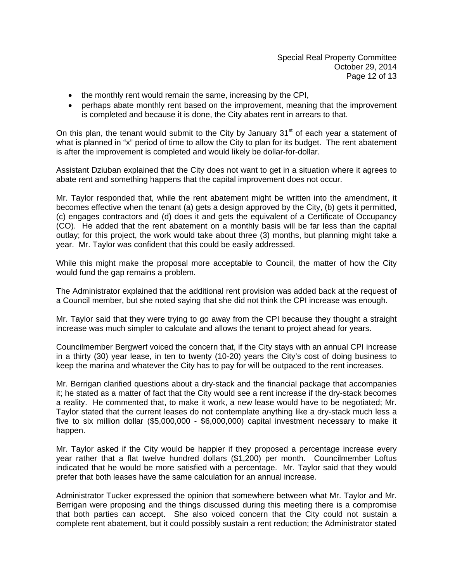- the monthly rent would remain the same, increasing by the CPI,
- perhaps abate monthly rent based on the improvement, meaning that the improvement is completed and because it is done, the City abates rent in arrears to that.

On this plan, the tenant would submit to the City by January  $31<sup>st</sup>$  of each year a statement of what is planned in "x" period of time to allow the City to plan for its budget. The rent abatement is after the improvement is completed and would likely be dollar-for-dollar.

Assistant Dziuban explained that the City does not want to get in a situation where it agrees to abate rent and something happens that the capital improvement does not occur.

Mr. Taylor responded that, while the rent abatement might be written into the amendment, it becomes effective when the tenant (a) gets a design approved by the City, (b) gets it permitted, (c) engages contractors and (d) does it and gets the equivalent of a Certificate of Occupancy (CO). He added that the rent abatement on a monthly basis will be far less than the capital outlay; for this project, the work would take about three (3) months, but planning might take a year. Mr. Taylor was confident that this could be easily addressed.

While this might make the proposal more acceptable to Council, the matter of how the City would fund the gap remains a problem.

The Administrator explained that the additional rent provision was added back at the request of a Council member, but she noted saying that she did not think the CPI increase was enough.

Mr. Taylor said that they were trying to go away from the CPI because they thought a straight increase was much simpler to calculate and allows the tenant to project ahead for years.

Councilmember Bergwerf voiced the concern that, if the City stays with an annual CPI increase in a thirty (30) year lease, in ten to twenty (10-20) years the City's cost of doing business to keep the marina and whatever the City has to pay for will be outpaced to the rent increases.

Mr. Berrigan clarified questions about a dry-stack and the financial package that accompanies it; he stated as a matter of fact that the City would see a rent increase if the dry-stack becomes a reality. He commented that, to make it work, a new lease would have to be negotiated; Mr. Taylor stated that the current leases do not contemplate anything like a dry-stack much less a five to six million dollar (\$5,000,000 - \$6,000,000) capital investment necessary to make it happen.

Mr. Taylor asked if the City would be happier if they proposed a percentage increase every year rather that a flat twelve hundred dollars (\$1,200) per month. Councilmember Loftus indicated that he would be more satisfied with a percentage. Mr. Taylor said that they would prefer that both leases have the same calculation for an annual increase.

Administrator Tucker expressed the opinion that somewhere between what Mr. Taylor and Mr. Berrigan were proposing and the things discussed during this meeting there is a compromise that both parties can accept. She also voiced concern that the City could not sustain a complete rent abatement, but it could possibly sustain a rent reduction; the Administrator stated